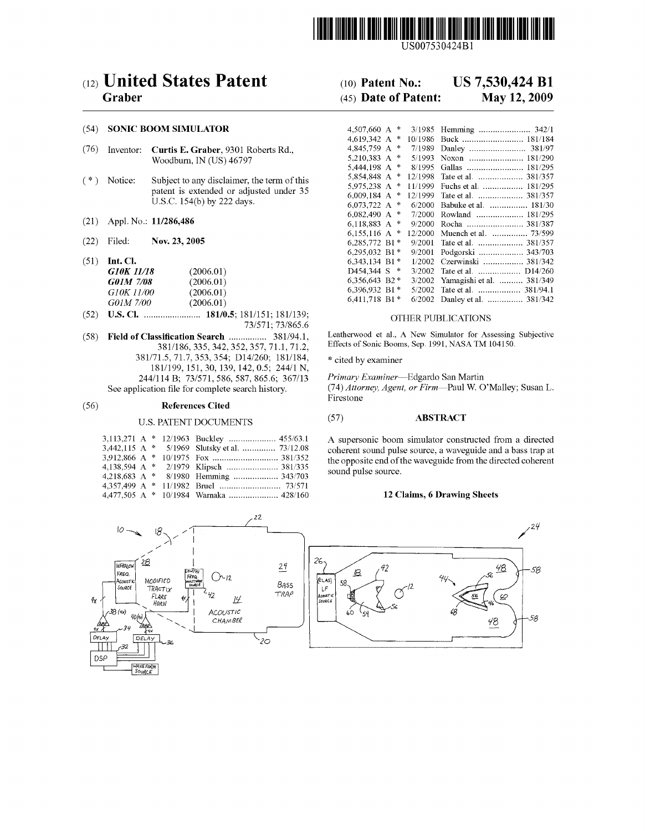

USOO7530424B1

## (54) SONIC BOOM SIMULATOR

- (76) Inventor: Curtis E. Graber, 9301 Roberts Rd., Woodburn, IN (US) 46797
- $(* )$  Notice: Subject to any disclaimer, the term of this patent is extended or adjusted under 35 U.S.C. 154(b) by 222 days.
- $(21)$  Appl. No.:  $11/286,486$
- 
- 

| . . | .                 |           |
|-----|-------------------|-----------|
|     | G10K 11/18        | (2006.01) |
|     | G01M 7/08         | (2006.01) |
|     | <i>G10K 11/00</i> | (2006.01) |
|     | G01M 7/00         | (2006.01) |
|     |                   |           |

(52) U.S. Cl. ........................ 181/0.5; 1851. ls. OTHER PUBLICATIONS

(58) Field of Classification Search ................ 381/941. Leatherwood et al., A New Simulator for Assessing Subjective 381/186, 335,342,352,357, 71.1, 71.2, Effects of Sonic Booms, Sep.1991, NASATM 104150. 381/71.5, 71.7, 353, 354; D14/260; 181/184, <br>
181/199, 151, 30, 139, 142, 0.5; 244/1 N,<br>
244/114 B; 73/571, 586, 587, 865.6; 367/13 Primary Examiner—Edgardo San Martin<br>
See application file for complete search history. (74

## (56) References Cited

WAVE FORM<br>SOURCE

|  | 3,442,115 A * 5/1969 Slutsky et al.  73/12.08 |
|--|-----------------------------------------------|
|  |                                               |
|  |                                               |
|  |                                               |
|  |                                               |
|  |                                               |

(12) United States Patent (10) Patent No.: US 7,530,424 B1<br>Graber (45) Date of Patent: May 12, 2009

# $(45)$  Date of Patent:

| (54)   |                        | <b>SONIC BOOM SIMULATOR</b>                                                                                          | 4,507,660 A $*$         |        |                               |
|--------|------------------------|----------------------------------------------------------------------------------------------------------------------|-------------------------|--------|-------------------------------|
|        |                        |                                                                                                                      | 4,619,342 A $*$         |        |                               |
| (76)   | Inventor:              | Curtis E. Graber, 9301 Roberts Rd.,                                                                                  | 4,845,759 A $*$         |        |                               |
|        |                        | Woodburn, IN (US) 46797                                                                                              | 5.210.383 A $*$         |        |                               |
|        |                        |                                                                                                                      | 5,444,198 A $*$         |        |                               |
| $($ *) | Notice:                | Subject to any disclaimer, the term of this<br>patent is extended or adjusted under 35<br>U.S.C. 154(b) by 222 days. | $5,854,848$ A * 12/1998 |        |                               |
|        |                        |                                                                                                                      | 5,975,238 A $*$ 11/1999 |        |                               |
|        |                        |                                                                                                                      | 6.009.184 A $*$         |        | 12/1999 Tate et al.  381/357  |
|        |                        |                                                                                                                      | $6.073.722 \text{ A}$ * |        | 6/2000 Babuke et al.  181/30  |
|        |                        |                                                                                                                      | 6.082.490 A $*$         |        | 7/2000 Rowland  181/295       |
| (21)   | Appl. No.: 11/286,486  |                                                                                                                      | 6.118.883 A $*$         |        | 9/2000 Rocha  381/387         |
|        |                        |                                                                                                                      |                         |        |                               |
| (22)   | Filed:                 | Nov. 23, 2005                                                                                                        | 6.285.772 B1 $*$        |        | 9/2001 Tate et al.  381/357   |
|        |                        |                                                                                                                      | 6.295.032 B1 $*$        |        | 9/2001 Podgorski  343/703     |
| (51)   | Int. Cl.               |                                                                                                                      | 6.343.134 B1 $*$        |        | 1/2002 Czerwinski  381/342    |
|        | <b>G10K 11/18</b>      | (2006.01)                                                                                                            | D454.344 S *            | 3/2002 |                               |
|        | G01M 7/08<br>(2006.01) |                                                                                                                      | 6.356.643 B2 $*$        | 3/2002 | Yamagishi et al.  381/349     |
|        | G10K 11/00             | (2006.01)                                                                                                            | 6,396,932 B1 $*$        |        | 5/2002 Tate et al.  381/94.1  |
|        | G01M 7/00              | (2006.01)                                                                                                            | 6.411.718 B1 $*$        |        | 6/2002 Danley et al.  381/342 |

(74) Attorney, Agent, or Firm-Paul W. O'Malley; Susan L. Firestone

# U.S. PATENT DOCUMENTS (57) ABSTRACT

A supersonic boom simulator constructed from a directed coherent sound pulse source, a waveguide and a bass trap at the opposite end of the waveguide from the directed coherent sound pulse source.

## 12 Claims, 6 Drawing Sheets

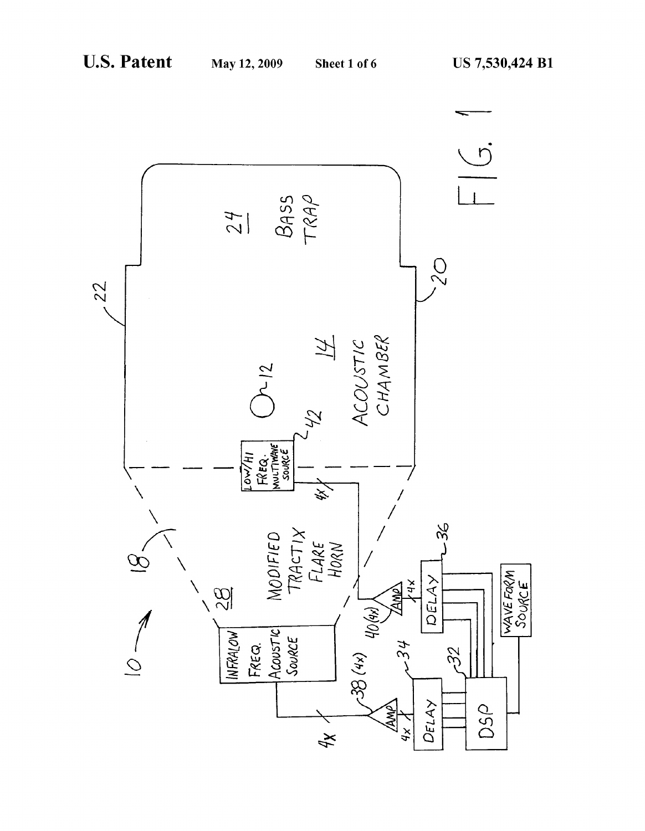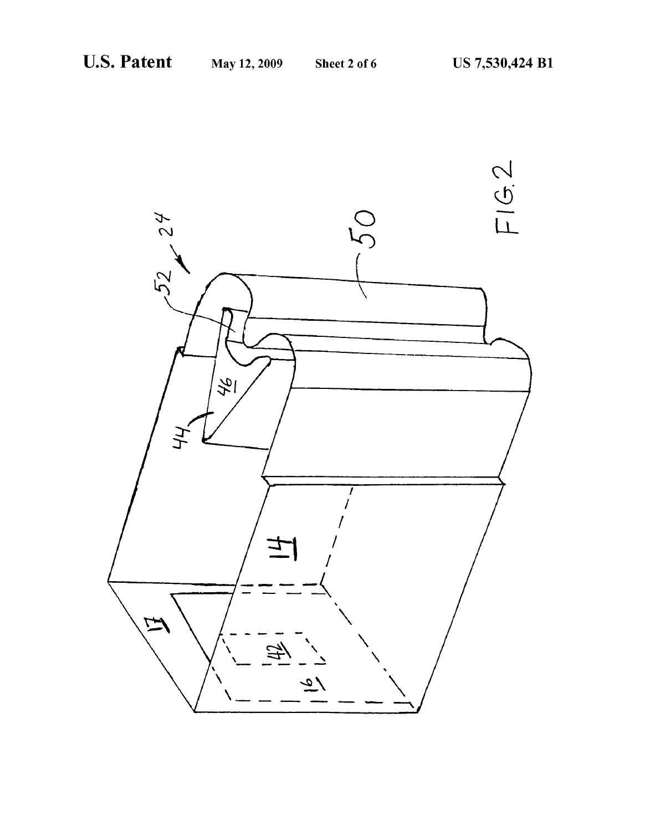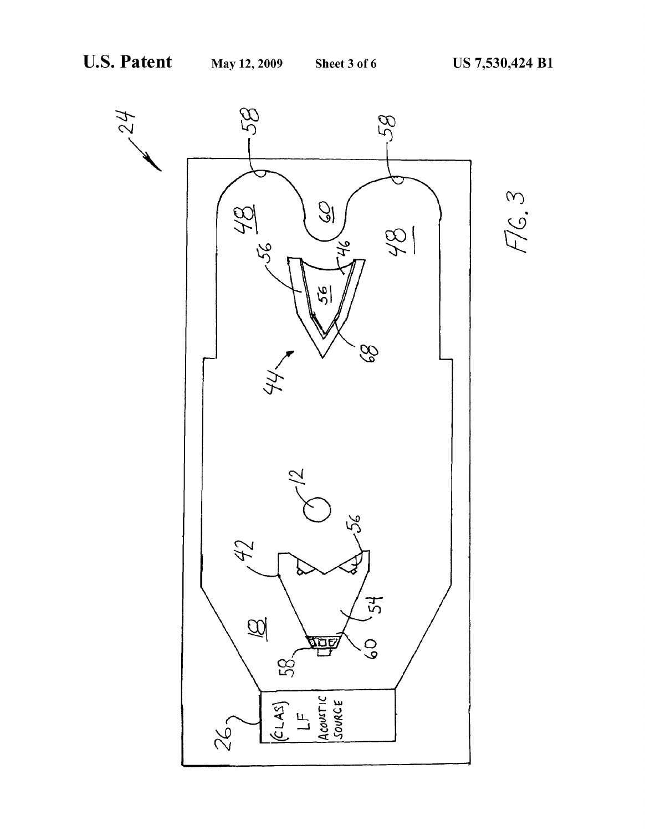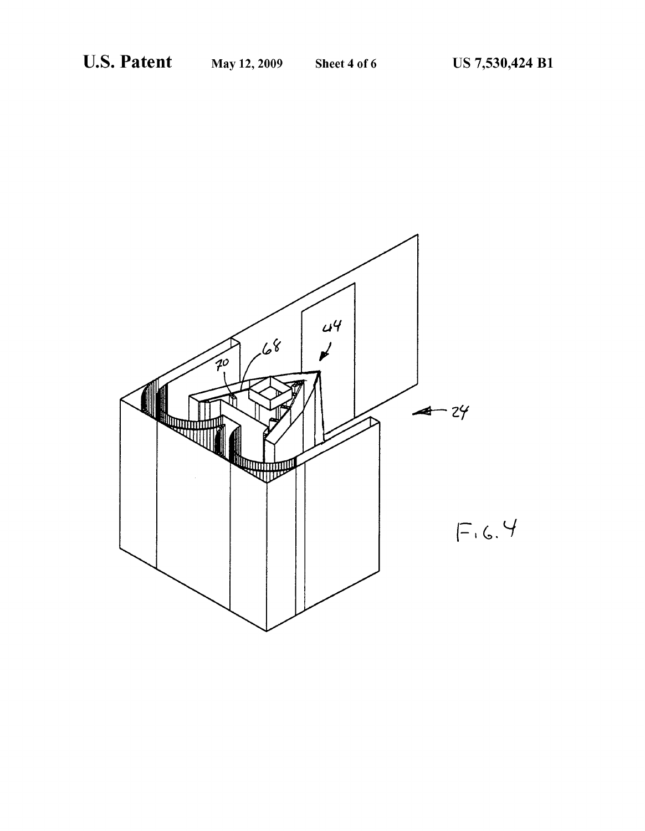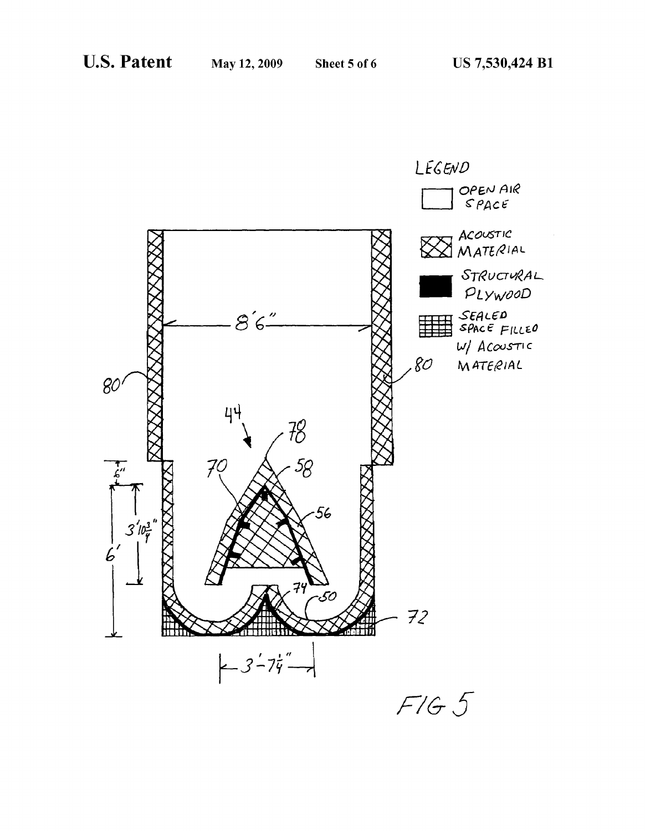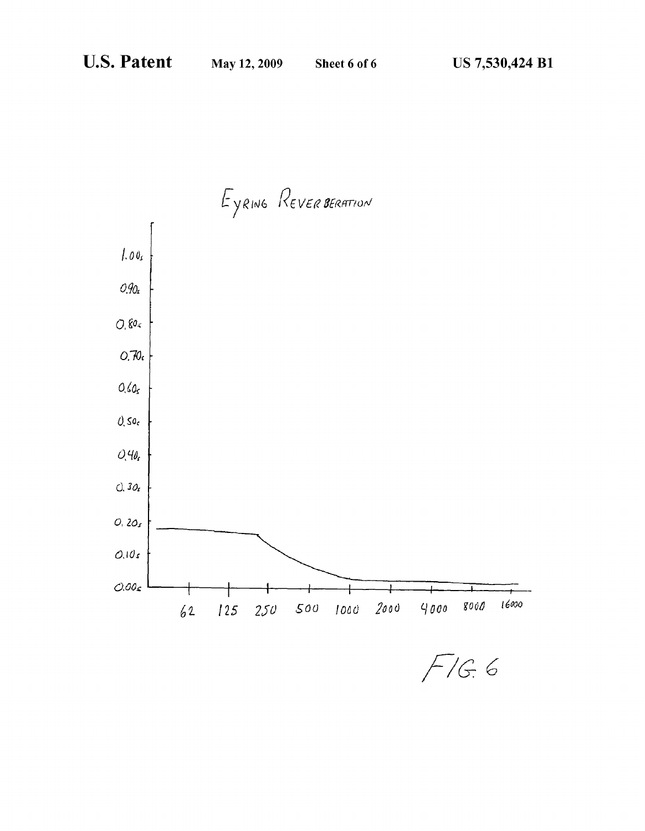

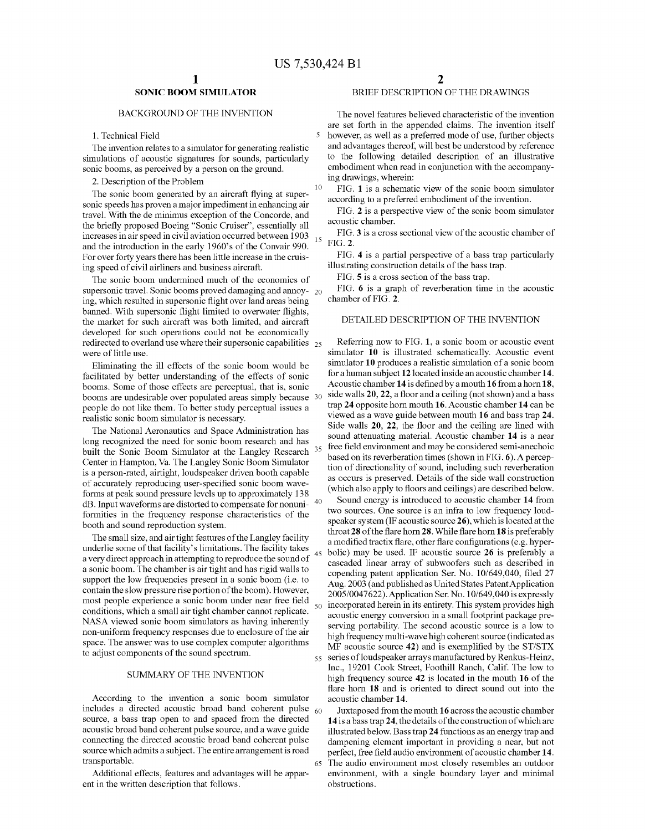10

15

45

50

65

# SONIC BOOM SIMULATOR

## BACKGROUND OF THE INVENTION

1. Technical Field

The invention relates to a simulator for generating realistic simulations of acoustic signatures for sounds, particularly sonic booms, as perceived by a person on the ground.

2. Description of the Problem

The sonic boom generated by an aircraft flying at supersonic speeds has proven a major impediment in enhancing air travel. With the de minimus exception of the Concorde, and the briefly proposed Boeing "Sonic Cruiser", essentially all increases in air speed in civil aviation occurred between 1903 and the introduction in the early 1960's of the Convair 990. For over forty years there has been little increase in the cruis ing speed of civil airliners and business aircraft.

The sonic boom undermined much of the economics of supersonic travel. Sonic booms proved damaging and annoy-  $_{20}$ ing, which resulted in supersonic flight over land areas being banned. With supersonic flight limited to overwater flights, the market for such aircraft was both limited, and aircraft developed for such operations could not be economically redirected to overland use where their supersonic capabilities 25<br>were of little use.

Eliminating the ill effects of the sonic boom would be facilitated by better understanding of the effects of sonic booms. Some of those effects are perceptual, that is, sonic booms are undesirable over populated areas simply because 30 people do not like them. To better study perceptual issues a realistic sonic boom simulator is necessary.

The National Aeronautics and Space Administration has long recognized the need for sonic boom research and has built the Sonic Boom Simulator at the Langley Research <sup>35</sup> Center in Hampton, Va. The Langley Sonic Boom Simulator is a person-rated, airtight, loudspeaker driven booth capable of accurately reproducing user-specified Sonic boom wave forms at peak sound pressure levels up to approximately 138  $dB$ . Input waveforms are distorted to compensate for nonuni- $40$ formities in the frequency response characteristics of the booth and sound reproduction system.

The Small size, and air tight features of the Langley facility underlie some of that facility's limitations. The facility takes a very direct approach in attempting to reproduce the sound of a sonic boom. The chamber is air tight and has rigid walls to support the low frequencies present in a sonic boom (i.e. to contain the slow pressure rise portion of the boom). However, most people experience a Sonic boom under near free field conditions, which a small air tight chamber cannot replicate.<br>NASA viewed sonic boom simulators as having inherently non-uniform frequency responses due to enclosure of the air space. The answer was to use complex computer algorithms to adjust components of the sound spectrum.

## SUMMARY OF THE INVENTION

According to the invention a Sonic boom simulator  $n_{\text{c}}$  and  $n_{\text{c}}$  are acoustic broad band coherent pulse  $\epsilon_{60}$ source, a bass trap open to and spaced from the directed acoustic broad band coherent pulse source, and a wave guide connecting the directed acoustic broad band coherent pulse source which admits a subject. The entire arrangement is road transportable.

Additional effects, features and advantages will be appar ent in the written description that follows.

## BRIEF DESCRIPTION OF THE DRAWINGS

The novel features believed characteristic of the invention are set forth in the appended claims. The invention itself however, as well as a preferred mode of use, further objects and advantages thereof, will best be understood by reference to the following detailed description of an illustrative embodiment when read in conjunction with the accompanying drawings, wherein:

FIG. 1 is a schematic view of the sonic boom simulator according to a preferred embodiment of the invention.

FIG. 2 is a perspective view of the sonic boom simulator acoustic chamber.

FIG. 3 is a cross sectional view of the acoustic chamber of FIG. 2.

FIG. 4 is a partial perspective of a bass trap particularly illustrating construction details of the bass trap.

FIG. 5 is a cross section of the bass trap.

FIG. 6 is a graph of reverberation time in the acoustic chamber of FIG. 2.

## DETAILED DESCRIPTION OF THE INVENTION

Referring now to FIG. 1, a sonic boom or acoustic event simulator 10 is illustrated schematically. Acoustic event simulator 10 produces a realistic simulation of a sonic boom for a human subject 12 located inside an acoustic chamber 14. Acoustic chamber 14 is defined by a mouth 16 from a horn 18, side walls 20, 22, a floor and a ceiling (not shown) and a bass trap 24 opposite horn mouth 16. Acoustic chamber 14 can be viewed as a wave guide between mouth 16 and bass trap 24. Side walls 20, 22, the floor and the ceiling are lined with sound attenuating material. Acoustic chamber 14 is a near free field environment and may be considered semi-anechoic<br>based on its reverberation times (shown in FIG. 6). A perception of directionality of sound, including such reverberation as occurs is preserved. Details of the side wall construction (which also apply to floors and ceilings) are described below.

55 series of loudspeaker arrays manufactured by Renkus-Heinz, Sound energy is introduced to acoustic chamber 14 from two sources. One source is an infra to low frequency loud speaker system (IF acoustic source 26), which is located at the throat 28 of the flare horn 28. While flare horn 18 is preferably a modified tractix flare, other flare configurations (e.g. hyper bolic) may be used. IF acoustic source 26 is preferably a cascaded linear array of subwoofers such as described in copending patent application Ser. No. 10/649,040, filed 27 Aug. 2003 (and published as United States Patent Application incorporated herein in its entirety. This system provides high acoustic energy conversion in a small footprint package pre serving portability. The second acoustic source is a low to high frequency multi-wave high coherent source (indicated as MF acoustic source 42) and is exemplified by the ST/STX Inc., 19201 Cook Street, Foothill Ranch, Calif. The low to high frequency source 42 is located in the mouth 16 of the flare horn 18 and is oriented to direct sound out into the acoustic chamber 14.

Juxtaposed from the mouth 16 across the acoustic chamber 14 is a bass trap 24, the details of the construction of which are illustrated below. Bass trap 24 functions as an energy trap and dampening element important in providing a near, but not perfect, free field audio environment of acoustic chamber 14. The audio environment most closely resembles an outdoor environment, with a single boundary layer and minimal obstructions.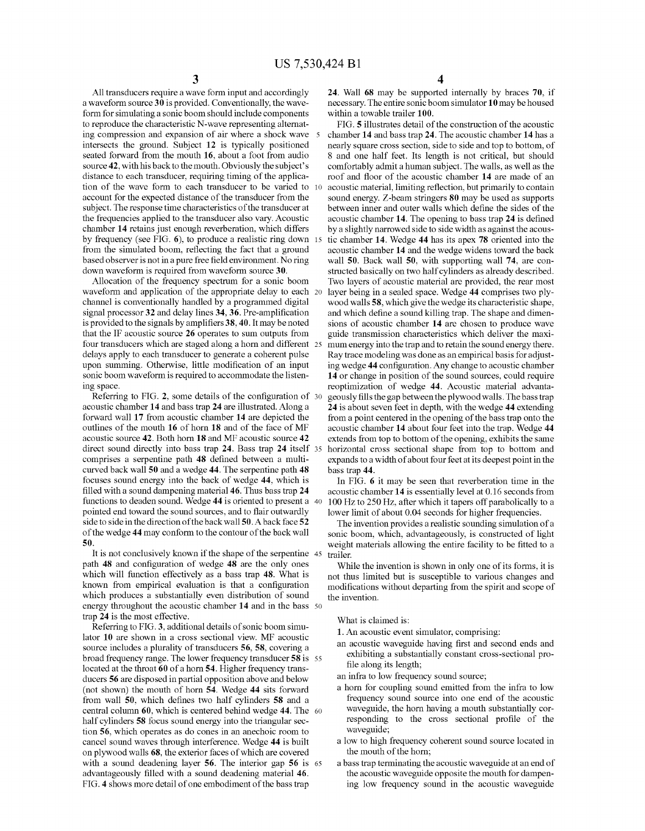10

All transducers require a wave form input and accordingly a waveform source 30 is provided. Conventionally, the wave form for simulating a sonic boom should include components to reproduce the characteristic N-wave representing alternat ing compression and expansion of air where a shock wave 5 intersects the ground. Subject 12 is typically positioned seated forward from the mouth 16, about a foot from audio source 42, with his back to the mouth. Obviously the subject's distance to each transducer, requiring timing of the application of the wave form to each transducer to be varied to account for the expected distance of the transducer from the subject. The response time characteristics of the transducer at the frequencies applied to the transducer also vary. Acoustic chamber 14 retains just enough reverberation, which differs by frequency (see FIG. 6), to produce a realistic ring down 15 from the simulated boom, reflecting the fact that a ground based observer is not in a pure free field environment. No ring down waveform is required from waveform source 30.

Allocation of the frequency spectrum for a sonic boom waveform and application of the appropriate delay to each 20 channel is conventionally handled by a programmed digital signal processor 32 and delay lines 34, 36. Pre-amplification is provided to the signals by amplifiers  $38, 40$ . It may be noted that the IF acoustic source 26 operates to sum outputs from four transducers which are staged along a horn and different 25 delays apply to each transducer to generate a coherent pulse upon summing. Otherwise, little modification of an input sonic boom waveform is required to accommodate the listening space.

Referring to FIG. 2, some details of the configuration of 30 acoustic chamber 14 and bass trap 24 are illustrated. Along a forward wall 17 from acoustic chamber 14 are depicted the outlines of the mouth 16 of horn 18 and of the face of MF acoustic source 42. Both horn 18 and MF acoustic source 42 direct sound directly into bass trap 24. Bass trap 24 itself 35 comprises a serpentine path 48 defined between a multi curved back wall 50 and a wedge 44. The serpentine path 48 focuses sound energy into the back of wedge 44, which is filled with a sound dampening material 46. Thus bass trap 24 functions to deaden sound. Wedge 44 is oriented to present a 40 pointed end toward the sound sources, and to flair outwardly side to side in the direction of the back wall 50. A back face 52 of the wedge 44 may conform to the contour of the back wall SO.

path 48 and configuration of wedge 48 are the only ones which will function effectively as a bass trap 48. What is known from empirical evaluation is that a configuration which produces a substantially even distribution of sound energy inroughout the acoustic chamber 14 and in the bass 50 trap 24 is the most effective. It is not conclusively known if the shape of the serpentine 45

Referring to FIG. 3, additional details of sonic boom simulator 10 are shown in a cross sectional view. MF acoustic source includes a plurality of transducers 56, 58, covering a broad frequency range. The lower frequency transducer 58 is 55 located at the throat 60 of a horn 54. Higher frequency trans ducers 56 are disposed in partial opposition above and below (not shown) the mouth of horn 54. Wedge 44 sits forward from wall 50, which defines two half cylinders 58 and a central column **ou**, which is centered behind wedge 44. The 60 half cylinders 58 focus sound energy into the triangular sec tion 56, which operates as do cones in an anechoic room to cancel sound waves through interference. Wedge 44 is built on plywood walls 68, the exterior faces of which are covered with a sound deadening layer 56. The interior gap 56 is advantageously filled with a sound deadening material 46. FIG. 4 shows more detail of one embodiment of the bass trap 65

24. Wall 68 may be supported internally by braces 70, if necessary. The entire sonic boom simulator 10 may be housed within a towable trailer 100.

FIG. 5 illustrates detail of the construction of the acoustic chamber 14 and bass trap 24. The acoustic chamber 14 has a nearly square cross section, side to side and top to bottom, of 8 and one half feet. Its length is not critical, but should comfortably admit a human subject. The walls, as well as the roof and floor of the acoustic chamber 14 are made of an acoustic material, limiting reflection, but primarily to contain sound energy. Z-beam stringers 80 may be used as supports between inner and outer walls which define the sides of the acoustic chamber 14. The opening to bass trap 24 is defined by a slightly narrowed side to side width as against the acous tic chamber 14. Wedge 44 has its apex 78 oriented into the acoustic chamber 14 and the wedge widens toward the back wall 50. Back wall 50, with supporting wall 74, are con structed basically on two half cylinders as already described. Two layers of acoustic material are provided, the rear most layer being in a sealed space. Wedge 44 comprises two ply wood walls 58, which give the wedge its characteristic shape, and which define a sound killing trap. The shape and dimen sions of acoustic chamber 14 are chosen to produce wave guide transmission characteristics which deliver the maxi mum energy into the trap and to retain the sound energy there.<br>Ray trace modeling was done as an empirical basis for adjusting wedge 44 configuration. Any change to acoustic chamber 14 or change in position of the sound sources, could require reoptimization of wedge 44. Acoustic material advanta-<br>geously fills the gap between the plywood walls. The bass trap 24 is about seven feet in depth, with the wedge 44 extending from a point centered in the opening of the bass trap onto the acoustic chamber 14 about four feet into the trap. Wedge 44 extends from top to bottom of the opening, exhibits the same horizontal cross sectional shape from top to bottom and expands to a width of about four feet at its deepest point in the bass trap 44.

In FIG. 6 it may be seen that reverberation time in the acoustic chamber 14 is essentially level at 0.16 seconds from 100 Hz to 250 Hz, after which it tapers off parabolically to a lower limit of about 0.04 seconds for higher frequencies.

The invention provides a realistic sounding simulation of a sonic boom, which, advantageously, is constructed of light weight materials allowing the entire facility to be fitted to a trailer.

While the invention is shown in only one of its forms, it is not thus limited but is susceptible to various changes and modifications without departing from the spirit and scope of the invention.

What is claimed is:

1. An acoustic event simulator, comprising:

an acoustic waveguide having first and second ends and exhibiting a substantially constant cross-sectional profile along its length;

an infra to low frequency sound source:

- a horn for coupling sound emitted from the infra to low frequency sound source into one end of the acoustic waveguide, the horn having a mouth substantially cor responding to the cross sectional profile of the waveguide;
- a low to high frequency coherent sound source located in the mouth of the horn;
- a bass trap terminating the acoustic waveguide at an end of ing low frequency sound in the acoustic waveguide